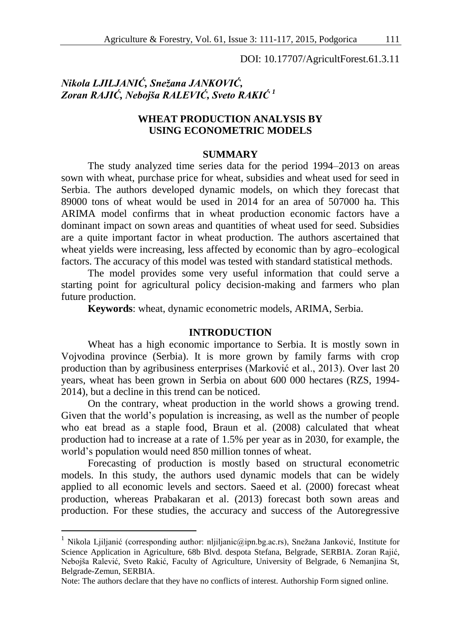DOI: 10.17707/AgricultForest.61.3.11

# *Nikola LJILJANIĆ, Snežana JANKOVIĆ, Zoran RAJIĆ, Nebojša RALEVIĆ, Sveto RAKIĆ <sup>1</sup>*

## **WHEAT PRODUCTION ANALYSIS BY USING ECONOMETRIC MODELS**

## **SUMMARY**

The study analyzed time series data for the period 1994–2013 on areas sown with wheat, purchase price for wheat, subsidies and wheat used for seed in Serbia. The authors developed dynamic models, on which they forecast that 89000 tons of wheat would be used in 2014 for an area of 507000 ha. This ARIMA model confirms that in wheat production economic factors have a dominant impact on sown areas and quantities of wheat used for seed. Subsidies are a quite important factor in wheat production. The authors ascertained that wheat yields were increasing, less affected by economic than by agro–ecological factors. The accuracy of this model was tested with standard statistical methods.

The model provides some very useful information that could serve a starting point for agricultural policy decision-making and farmers who plan future production.

**Keywords**: wheat, dynamic econometric models, ARIMA, Serbia.

### **INTRODUCTION**

Wheat has a high economic importance to Serbia. It is mostly sown in Vojvodina province (Serbia). It is more grown by family farms with crop production than by agribusiness enterprises (Marković et al., 2013). Over last 20 years, wheat has been grown in Serbia on about 600 000 hectares (RZS, 1994- 2014), but a decline in this trend can be noticed.

On the contrary, wheat production in the world shows a growing trend. Given that the world's population is increasing, as well as the number of people who eat bread as a staple food, Braun et al. (2008) calculated that wheat production had to increase at a rate of 1.5% per year as in 2030, for example, the world's population would need 850 million tonnes of wheat.

Forecasting of production is mostly based on structural econometric models. In this study, the authors used dynamic models that can be widely applied to all economic levels and sectors. Saeed et al. (2000) forecast wheat production, whereas Prabakaran et al. (2013) forecast both sown areas and production. For these studies, the accuracy and success of the Autoregressive

<u>.</u>

<sup>&</sup>lt;sup>1</sup> Nikola Ljiljanić (corresponding author: nljiljanic@ipn.bg.ac.rs), Snežana Janković, Institute for Science Application in Agriculture, 68b Blvd. despota Stefana, Belgrade, SERBIA. Zoran Rajić, Nebojša Ralević, Sveto Rakić, Faculty of Agriculture, University of Belgrade, 6 Nemanjina St, Belgrade-Zemun, SERBIA.

Note: The authors declare that they have no conflicts of interest. Authorship Form signed online.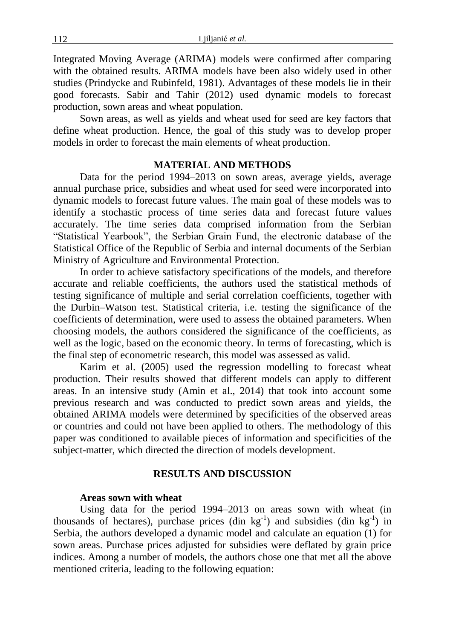Integrated Moving Average (ARIMA) models were confirmed after comparing with the obtained results. ARIMA models have been also widely used in other studies (Prindycke and Rubinfeld, 1981). Advantages of these models lie in their good forecasts. Sabir and Tahir (2012) used dynamic models to forecast production, sown areas and wheat population.

Sown areas, as well as yields and wheat used for seed are key factors that define wheat production. Hence, the goal of this study was to develop proper models in order to forecast the main elements of wheat production.

#### **MATERIAL AND METHODS**

Data for the period 1994–2013 on sown areas, average yields, average annual purchase price, subsidies and wheat used for seed were incorporated into dynamic models to forecast future values. The main goal of these models was to identify a stochastic process of time series data and forecast future values accurately. The time series data comprised information from the Serbian "Statistical Yearbook", the Serbian Grain Fund, the electronic database of the Statistical Office of the Republic of Serbia and internal documents of the Serbian Ministry of Agriculture and Environmental Protection.

In order to achieve satisfactory specifications of the models, and therefore accurate and reliable coefficients, the authors used the statistical methods of testing significance of multiple and serial correlation coefficients, together with the Durbin–Watson test. Statistical criteria, i.e. testing the significance of the coefficients of determination, were used to assess the obtained parameters. When choosing models, the authors considered the significance of the coefficients, as well as the logic, based on the economic theory. In terms of forecasting, which is the final step of econometric research, this model was assessed as valid.

Karim et al. (2005) used the regression modelling to forecast wheat production. Their results showed that different models can apply to different areas. In an intensive study (Amin et al., 2014) that took into account some previous research and was conducted to predict sown areas and yields, the obtained ARIMA models were determined by specificities of the observed areas or countries and could not have been applied to others. The methodology of this paper was conditioned to available pieces of information and specificities of the subject-matter, which directed the direction of models development.

## **RESULTS AND DISCUSSION**

#### **Areas sown with wheat**

Using data for the period 1994–2013 on areas sown with wheat (in thousands of hectares), purchase prices (din  $kg^{-1}$ ) and subsidies (din  $kg^{-1}$ ) in Serbia, the authors developed a dynamic model and calculate an equation (1) for sown areas. Purchase prices adjusted for subsidies were deflated by grain price indices. Among a number of models, the authors chose one that met all the above mentioned criteria, leading to the following equation: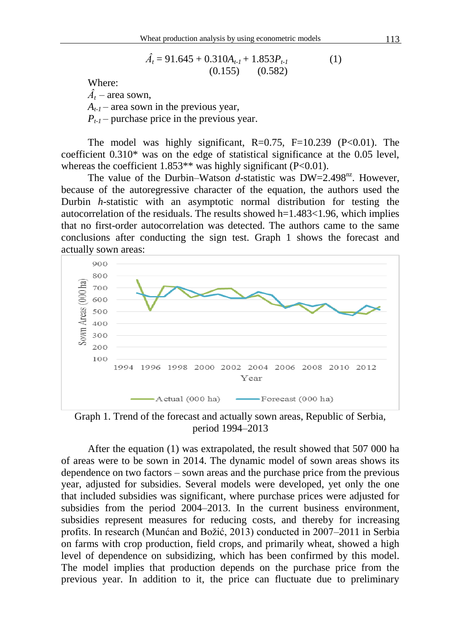$$
\hat{A}_t = 91.645 + 0.310A_{t-1} + 1.853P_{t-1}
$$
\n
$$
(0.155) \quad (0.582)
$$

Where:

 $\hat{A}_t$  – area sown.

 $A_{t-1}$  – area sown in the previous year,

 $P_{t-1}$  – purchase price in the previous year.

The model was highly significant,  $R=0.75$ ,  $F=10.239$  ( $P<0.01$ ). The coefficient 0.310\* was on the edge of statistical significance at the 0.05 level, whereas the coefficient  $1.853**$  was highly significant (P<0.01).

The value of the Durbin–Watson *d*-statistic was  $DW=2.498^{nz}$ . However, because of the autoregressive character of the equation, the authors used the Durbin *h*-statistic with an asymptotic normal distribution for testing the autocorrelation of the residuals. The results showed  $h=1.483<1.96$ , which implies that no first-order autocorrelation was detected. The authors came to the same conclusions after conducting the sign test. Graph 1 shows the forecast and actually sown areas:



Graph 1. Trend of the forecast and actually sown areas, Republic of Serbia, period 1994–2013

After the equation (1) was extrapolated, the result showed that 507 000 ha of areas were to be sown in 2014. The dynamic model of sown areas shows its dependence on two factors – sown areas and the purchase price from the previous year, adjusted for subsidies. Several models were developed, yet only the one that included subsidies was significant, where purchase prices were adjusted for subsidies from the period 2004–2013. In the current business environment, subsidies represent measures for reducing costs, and thereby for increasing profits. In research (Munćan and Božić, 2013) conducted in 2007–2011 in Serbia on farms with crop production, field crops, and primarily wheat, showed a high level of dependence on subsidizing, which has been confirmed by this model. The model implies that production depends on the purchase price from the previous year. In addition to it, the price can fluctuate due to preliminary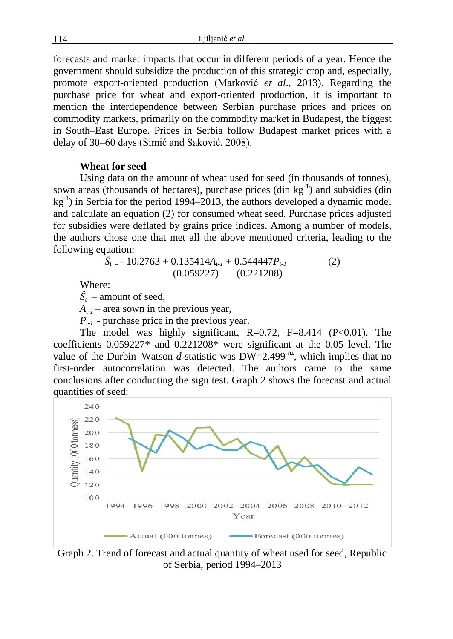114 Ljiljanić *et al.*

forecasts and market impacts that occur in different periods of a year. Hence the government should subsidize the production of this strategic crop and, especially, promote export-oriented production (Marković *et al*., 2013). Regarding the purchase price for wheat and export-oriented production, it is important to mention the interdependence between Serbian purchase prices and prices on commodity markets, primarily on the commodity market in Budapest, the biggest in South–East Europe. Prices in Serbia follow Budapest market prices with a delay of 30–60 days (Simić and Saković, 2008).

## **Wheat for seed**

Using data on the amount of wheat used for seed (in thousands of tonnes), sown areas (thousands of hectares), purchase prices  $(\text{dim } kg^{-1})$  and subsidies  $(\text{dim } k)$  $kg^{-1}$ ) in Serbia for the period 1994–2013, the authors developed a dynamic model and calculate an equation (2) for consumed wheat seed. Purchase prices adjusted for subsidies were deflated by grains price indices. Among a number of models, the authors chose one that met all the above mentioned criteria, leading to the following equation:

$$
\hat{S}_{t} = -10.2763 + 0.135414A_{t-1} + 0.544447P_{t-1}
$$
\n(2)  
\n(0.059227) (0.221208)

Where:

 $\hat{S}_t$  – amount of seed.

 $A_{t-1}$  – area sown in the previous year,

*Pt-1* - purchase price in the previous year.

The model was highly significant,  $R=0.72$ ,  $F=8.414$  ( $P<0.01$ ). The coefficients 0.059227\* and 0.221208\* were significant at the 0.05 level. The value of the Durbin–Watson *d*-statistic was  $DW=2.499^{nz}$ , which implies that no first-order autocorrelation was detected. The authors came to the same conclusions after conducting the sign test. Graph 2 shows the forecast and actual quantities of seed:



Graph 2. Trend of forecast and actual quantity of wheat used for seed, Republic of Serbia, period 1994–2013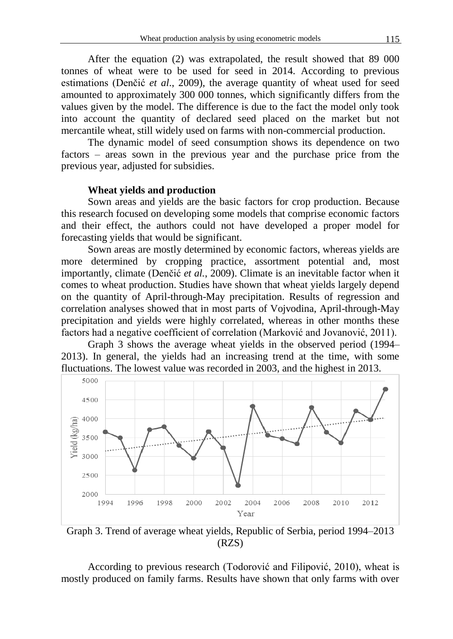After the equation (2) was extrapolated, the result showed that 89 000 tonnes of wheat were to be used for seed in 2014. According to previous estimations (Denčić *et al*., 2009), the average quantity of wheat used for seed amounted to approximately 300 000 tonnes, which significantly differs from the values given by the model. The difference is due to the fact the model only took into account the quantity of declared seed placed on the market but not mercantile wheat, still widely used on farms with non-commercial production.

The dynamic model of seed consumption shows its dependence on two factors – areas sown in the previous year and the purchase price from the previous year, adjusted for subsidies.

## **Wheat yields and production**

Sown areas and yields are the basic factors for crop production. Because this research focused on developing some models that comprise economic factors and their effect, the authors could not have developed a proper model for forecasting yields that would be significant.

Sown areas are mostly determined by economic factors, whereas yields are more determined by cropping practice, assortment potential and, most importantly, climate (Denčić *et al.*, 2009). Climate is an inevitable factor when it comes to wheat production. Studies have shown that wheat yields largely depend on the quantity of April-through-May precipitation. Results of regression and correlation analyses showed that in most parts of Vojvodina, April-through-May precipitation and yields were highly correlated, whereas in other months these factors had a negative coefficient of correlation (Marković and Jovanović, 2011).

Graph 3 shows the average wheat yields in the observed period (1994– 2013). In general, the yields had an increasing trend at the time, with some fluctuations. The lowest value was recorded in 2003, and the highest in 2013.



Graph 3. Trend of average wheat yields, Republic of Serbia, period 1994–2013 (RZS)

According to previous research (Todorović and Filipović, 2010), wheat is mostly produced on family farms. Results have shown that only farms with over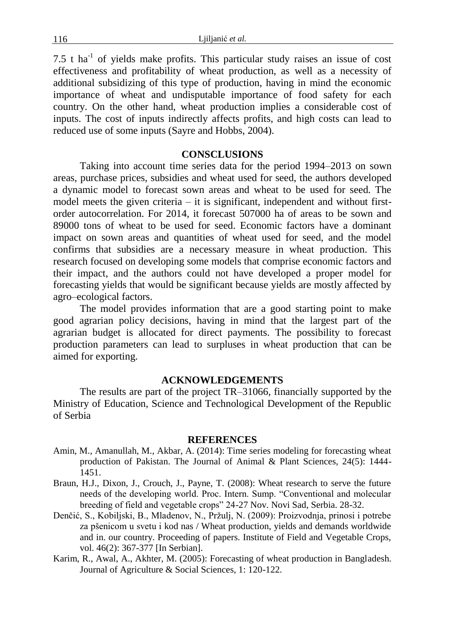7.5 t ha<sup>-1</sup> of yields make profits. This particular study raises an issue of cost effectiveness and profitability of wheat production, as well as a necessity of additional subsidizing of this type of production, having in mind the economic importance of wheat and undisputable importance of food safety for each country. On the other hand, wheat production implies a considerable cost of inputs. The cost of inputs indirectly affects profits, and high costs can lead to reduced use of some inputs (Sayre and Hobbs, 2004).

## **CONSCLUSIONS**

Taking into account time series data for the period 1994–2013 on sown areas, purchase prices, subsidies and wheat used for seed, the authors developed a dynamic model to forecast sown areas and wheat to be used for seed. The model meets the given criteria – it is significant, independent and without firstorder autocorrelation. For 2014, it forecast 507000 ha of areas to be sown and 89000 tons of wheat to be used for seed. Economic factors have a dominant impact on sown areas and quantities of wheat used for seed, and the model confirms that subsidies are a necessary measure in wheat production. This research focused on developing some models that comprise economic factors and their impact, and the authors could not have developed a proper model for forecasting yields that would be significant because yields are mostly affected by agro–ecological factors.

The model provides information that are a good starting point to make good agrarian policy decisions, having in mind that the largest part of the agrarian budget is allocated for direct payments. The possibility to forecast production parameters can lead to surpluses in wheat production that can be aimed for exporting.

#### **ACKNOWLEDGEMENTS**

The results are part of the project TR–31066, financially supported by the Ministry of Education, Science and Technological Development of the Republic of Serbia

### **REFERENCES**

- Amin, M., Amanullah, M., Akbar, A. (2014): Time series modeling for forecasting wheat production of Pakistan. The Journal of Animal & Plant Sciences, 24(5): 1444- 1451.
- Braun, H.J., Dixon, J., Crouch, J., Payne, T. (2008): Wheat research to serve the future needs of the developing world. Proc. Intern. Sump. "Conventional and molecular breeding of field and vegetable crops" 24-27 Nov. Novi Sad, Serbia. 28-32.
- Denčić, S., Kobiljski, B., Mladenov, N., Pržulj, N. (2009): Proizvodnja, prinosi i potrebe za pšenicom u svetu i kod nas / Wheat production, yields and demands worldwide and in. our country. Proceeding of papers. Institute of Field and Vegetable Crops, vol. 46(2): 367-377 [In Serbian].
- Karim, R., Awal, A., Akhter, M. (2005): Forecasting of wheat production in Bangladesh. Journal of Agriculture & Social Sciences, 1: 120-122.